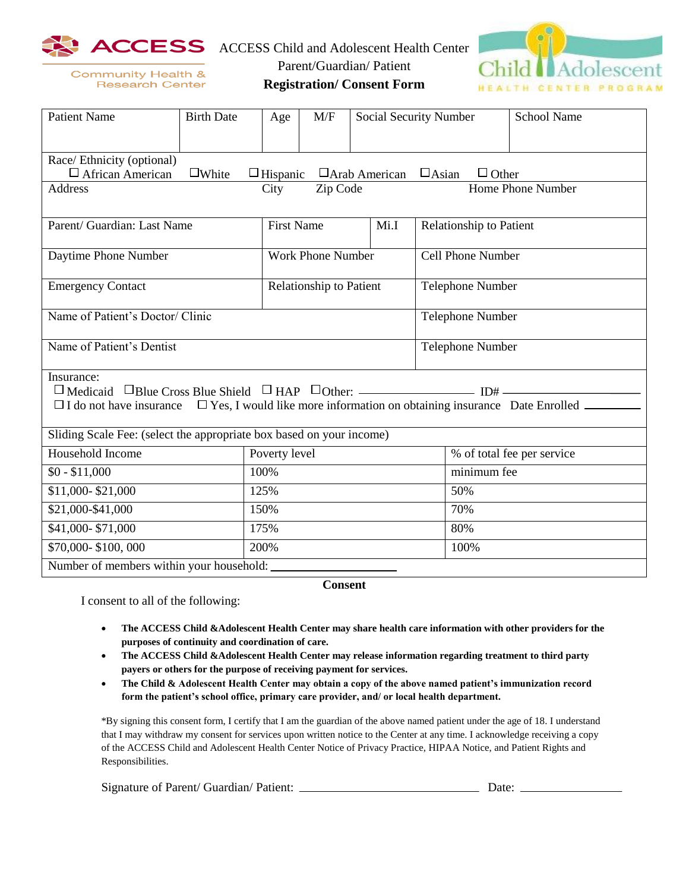

ACCESS Child and Adolescent Health Center



**Community Health & Research Center**  Parent/Guardian/ Patient

**Registration/ Consent Form**

| <b>Patient Name</b>                                                                                                                | <b>Birth Date</b> | Age               | M/F                      |  | Social Security Number<br><b>School Name</b> |                                |  |  |
|------------------------------------------------------------------------------------------------------------------------------------|-------------------|-------------------|--------------------------|--|----------------------------------------------|--------------------------------|--|--|
|                                                                                                                                    |                   |                   |                          |  |                                              |                                |  |  |
| Race/ Ethnicity (optional)                                                                                                         |                   |                   |                          |  |                                              |                                |  |  |
| $\square$ White<br>$\Box$ African American<br>$\Box$ Arab American<br>$\Box$ Asian<br>$\Box$ Other<br>$\Box$ Hispanic              |                   |                   |                          |  |                                              |                                |  |  |
| Home Phone Number<br>Zip Code<br><b>Address</b><br>City                                                                            |                   |                   |                          |  |                                              |                                |  |  |
|                                                                                                                                    |                   |                   |                          |  |                                              |                                |  |  |
| Parent/ Guardian: Last Name                                                                                                        |                   | <b>First Name</b> |                          |  | Mi.I                                         | <b>Relationship to Patient</b> |  |  |
| Daytime Phone Number                                                                                                               |                   |                   | <b>Work Phone Number</b> |  |                                              | Cell Phone Number              |  |  |
| <b>Emergency Contact</b>                                                                                                           |                   |                   | Relationship to Patient  |  |                                              | <b>Telephone Number</b>        |  |  |
| Name of Patient's Doctor/ Clinic                                                                                                   |                   |                   |                          |  |                                              | Telephone Number               |  |  |
| Name of Patient's Dentist                                                                                                          |                   |                   |                          |  |                                              | Telephone Number               |  |  |
| Insurance:<br>$\Box$ I do not have insurance $\Box$ Yes, I would like more information on obtaining insurance Date Enrolled $\Box$ |                   |                   |                          |  |                                              |                                |  |  |
| Sliding Scale Fee: (select the appropriate box based on your income)                                                               |                   |                   |                          |  |                                              |                                |  |  |
| Household Income                                                                                                                   |                   | Poverty level     |                          |  |                                              | % of total fee per service     |  |  |
| $$0 - $11,000$                                                                                                                     |                   | 100%              |                          |  |                                              | minimum fee                    |  |  |
| \$11,000-\$21,000                                                                                                                  |                   | 125%              |                          |  |                                              | 50%                            |  |  |
| \$21,000-\$41,000                                                                                                                  |                   | 150%              |                          |  |                                              | 70%                            |  |  |
| \$41,000-\$71,000                                                                                                                  |                   | 175%              |                          |  |                                              | 80%                            |  |  |
| \$70,000-\$100,000                                                                                                                 | 200%              |                   |                          |  |                                              | 100%                           |  |  |
| Number of members within your household:                                                                                           |                   |                   |                          |  |                                              |                                |  |  |
| $\sim$ $\sim$                                                                                                                      |                   |                   |                          |  |                                              |                                |  |  |

**Consent**

I consent to all of the following:

- **The ACCESS Child &Adolescent Health Center may share health care information with other providers for the purposes of continuity and coordination of care.**
- **The ACCESS Child &Adolescent Health Center may release information regarding treatment to third party payers or others for the purpose of receiving payment for services.**
- **The Child & Adolescent Health Center may obtain a copy of the above named patient's immunization record form the patient's school office, primary care provider, and/ or local health department.**

\*By signing this consent form, I certify that I am the guardian of the above named patient under the age of 18. I understand that I may withdraw my consent for services upon written notice to the Center at any time. I acknowledge receiving a copy of the ACCESS Child and Adolescent Health Center Notice of Privacy Practice, HIPAA Notice, and Patient Rights and Responsibilities.

| Signature of Parent/ Guardian/ Patient: | Date: |  |
|-----------------------------------------|-------|--|
|-----------------------------------------|-------|--|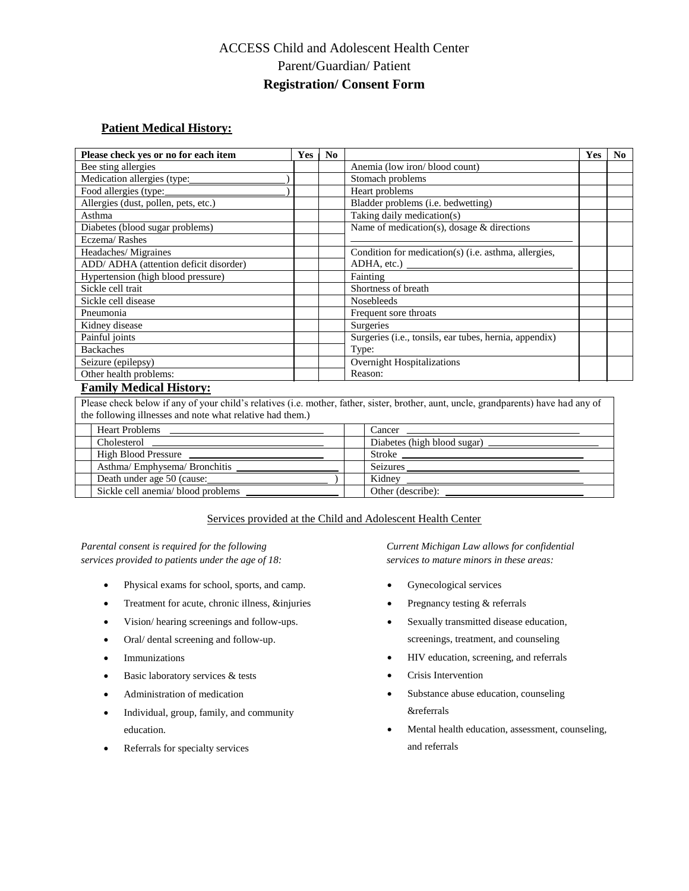## ACCESS Child and Adolescent Health Center Parent/Guardian/ Patient **Registration/ Consent Form**

## **Patient Medical History:**

| Please check yes or no for each item   | <b>Yes</b> | N <sub>0</sub> |                                                        | <b>Yes</b> | No. |
|----------------------------------------|------------|----------------|--------------------------------------------------------|------------|-----|
| Bee sting allergies                    |            |                | Anemia (low iron/blood count)                          |            |     |
| Medication allergies (type:            |            |                | Stomach problems                                       |            |     |
| Food allergies (type:                  |            |                | Heart problems                                         |            |     |
| Allergies (dust, pollen, pets, etc.)   |            |                | Bladder problems (i.e. bedwetting)                     |            |     |
| Asthma                                 |            |                | Taking daily medication(s)                             |            |     |
| Diabetes (blood sugar problems)        |            |                | Name of medication(s), dosage $&$ directions           |            |     |
| Eczema/Rashes                          |            |                |                                                        |            |     |
| Headaches/Migraines                    |            |                | Condition for medication(s) (i.e. asthma, allergies,   |            |     |
| ADD/ ADHA (attention deficit disorder) |            |                |                                                        |            |     |
| Hypertension (high blood pressure)     |            |                | Fainting                                               |            |     |
| Sickle cell trait                      |            |                | Shortness of breath                                    |            |     |
| Sickle cell disease                    |            |                | <b>Nosebleeds</b>                                      |            |     |
| Pneumonia                              |            |                | Frequent sore throats                                  |            |     |
| Kidney disease                         |            |                | Surgeries                                              |            |     |
| Painful joints                         |            |                | Surgeries (i.e., tonsils, ear tubes, hernia, appendix) |            |     |
| <b>Backaches</b>                       |            |                | Type:                                                  |            |     |
| Seizure (epilepsy)                     |            |                | <b>Overnight Hospitalizations</b>                      |            |     |
| Other health problems:                 |            |                | Reason:                                                |            |     |
| Eamily Madisal Higtown                 |            |                |                                                        |            |     |

## **Family Medical History:**

Please check below if any of your child's relatives (i.e. mother, father, sister, brother, aunt, uncle, grandparents) have had any of the following illnesses and note what relative had them.)

| <b>Heart Problems</b>              | $Cancer \ \$                |
|------------------------------------|-----------------------------|
| Cholesterol                        | Diabetes (high blood sugar) |
| High Blood Pressure                | Stroke                      |
| Asthma/Emphysema/Bronchitis        | Seizures                    |
| Death under age 50 (cause:         | Kidnev                      |
| Sickle cell anemia/ blood problems | Other (describe):           |

## Services provided at the Child and Adolescent Health Center

*services provided to patients under the age of 18: services to mature minors in these areas:*

- Physical exams for school, sports, and camp.
- Treatment for acute, chronic illness, &injuries
- Vision/ hearing screenings and follow-ups.
- Oral/ dental screening and follow-up.
- Immunizations
- Basic laboratory services & tests
- Administration of medication
- Individual, group, family, and community education.
- Referrals for specialty services

*Parental consent is required for the following Current Michigan Law allows for confidential* 

- Gynecological services
- Pregnancy testing & referrals
- Sexually transmitted disease education, screenings, treatment, and counseling
- HIV education, screening, and referrals
- Crisis Intervention
- Substance abuse education, counseling &referrals
- Mental health education, assessment, counseling, and referrals